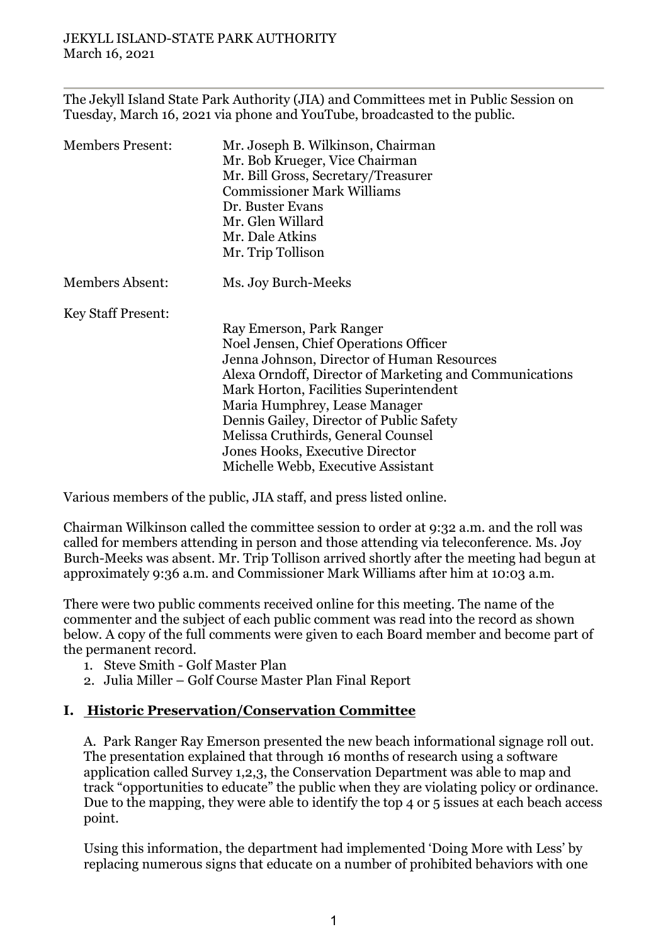The Jekyll Island State Park Authority (JIA) and Committees met in Public Session on Tuesday, March 16, 2021 via phone and YouTube, broadcasted to the public.

| <b>Members Present:</b>   | Mr. Joseph B. Wilkinson, Chairman<br>Mr. Bob Krueger, Vice Chairman<br>Mr. Bill Gross, Secretary/Treasurer<br><b>Commissioner Mark Williams</b><br>Dr. Buster Evans<br>Mr. Glen Willard |
|---------------------------|-----------------------------------------------------------------------------------------------------------------------------------------------------------------------------------------|
|                           | Mr. Dale Atkins<br>Mr. Trip Tollison                                                                                                                                                    |
| <b>Members Absent:</b>    | Ms. Joy Burch-Meeks                                                                                                                                                                     |
| <b>Key Staff Present:</b> |                                                                                                                                                                                         |
|                           | Ray Emerson, Park Ranger                                                                                                                                                                |
|                           | Noel Jensen, Chief Operations Officer                                                                                                                                                   |
|                           | Jenna Johnson, Director of Human Resources                                                                                                                                              |
|                           | Alexa Orndoff, Director of Marketing and Communications                                                                                                                                 |
|                           | Mark Horton, Facilities Superintendent                                                                                                                                                  |
|                           | Maria Humphrey, Lease Manager                                                                                                                                                           |
|                           | Dennis Gailey, Director of Public Safety                                                                                                                                                |
|                           | Melissa Cruthirds, General Counsel                                                                                                                                                      |
|                           | Jones Hooks, Executive Director                                                                                                                                                         |
|                           | Michelle Webb, Executive Assistant                                                                                                                                                      |

Various members of the public, JIA staff, and press listed online.

Chairman Wilkinson called the committee session to order at 9:32 a.m. and the roll was called for members attending in person and those attending via teleconference. Ms. Joy Burch-Meeks was absent. Mr. Trip Tollison arrived shortly after the meeting had begun at approximately 9:36 a.m. and Commissioner Mark Williams after him at 10:03 a.m.

There were two public comments received online for this meeting. The name of the commenter and the subject of each public comment was read into the record as shown below. A copy of the full comments were given to each Board member and become part of the permanent record.

- 1. Steve Smith Golf Master Plan
- 2. Julia Miller Golf Course Master Plan Final Report

# **I. Historic Preservation/Conservation Committee**

A. Park Ranger Ray Emerson presented the new beach informational signage roll out. The presentation explained that through 16 months of research using a software application called Survey 1,2,3, the Conservation Department was able to map and track "opportunities to educate" the public when they are violating policy or ordinance. Due to the mapping, they were able to identify the top 4 or 5 issues at each beach access point.

Using this information, the department had implemented 'Doing More with Less' by replacing numerous signs that educate on a number of prohibited behaviors with one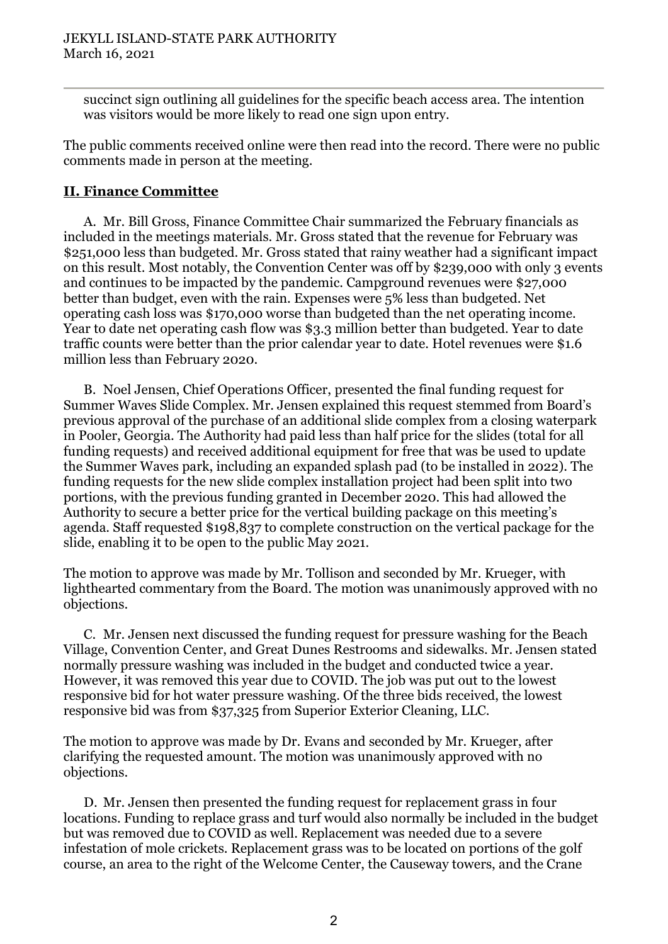succinct sign outlining all guidelines for the specific beach access area. The intention was visitors would be more likely to read one sign upon entry.

The public comments received online were then read into the record. There were no public comments made in person at the meeting.

### **II. Finance Committee**

A. Mr. Bill Gross, Finance Committee Chair summarized the February financials as included in the meetings materials. Mr. Gross stated that the revenue for February was \$251,000 less than budgeted. Mr. Gross stated that rainy weather had a significant impact on this result. Most notably, the Convention Center was off by \$239,000 with only 3 events and continues to be impacted by the pandemic. Campground revenues were \$27,000 better than budget, even with the rain. Expenses were 5% less than budgeted. Net operating cash loss was \$170,000 worse than budgeted than the net operating income. Year to date net operating cash flow was \$3.3 million better than budgeted. Year to date traffic counts were better than the prior calendar year to date. Hotel revenues were \$1.6 million less than February 2020.

B. Noel Jensen, Chief Operations Officer, presented the final funding request for Summer Waves Slide Complex. Mr. Jensen explained this request stemmed from Board's previous approval of the purchase of an additional slide complex from a closing waterpark in Pooler, Georgia. The Authority had paid less than half price for the slides (total for all funding requests) and received additional equipment for free that was be used to update the Summer Waves park, including an expanded splash pad (to be installed in 2022). The funding requests for the new slide complex installation project had been split into two portions, with the previous funding granted in December 2020. This had allowed the Authority to secure a better price for the vertical building package on this meeting's agenda. Staff requested \$198,837 to complete construction on the vertical package for the slide, enabling it to be open to the public May 2021.

The motion to approve was made by Mr. Tollison and seconded by Mr. Krueger, with lighthearted commentary from the Board. The motion was unanimously approved with no objections.

C. Mr. Jensen next discussed the funding request for pressure washing for the Beach Village, Convention Center, and Great Dunes Restrooms and sidewalks. Mr. Jensen stated normally pressure washing was included in the budget and conducted twice a year. However, it was removed this year due to COVID. The job was put out to the lowest responsive bid for hot water pressure washing. Of the three bids received, the lowest responsive bid was from \$37,325 from Superior Exterior Cleaning, LLC.

The motion to approve was made by Dr. Evans and seconded by Mr. Krueger, after clarifying the requested amount. The motion was unanimously approved with no objections.

D. Mr. Jensen then presented the funding request for replacement grass in four locations. Funding to replace grass and turf would also normally be included in the budget but was removed due to COVID as well. Replacement was needed due to a severe infestation of mole crickets. Replacement grass was to be located on portions of the golf course, an area to the right of the Welcome Center, the Causeway towers, and the Crane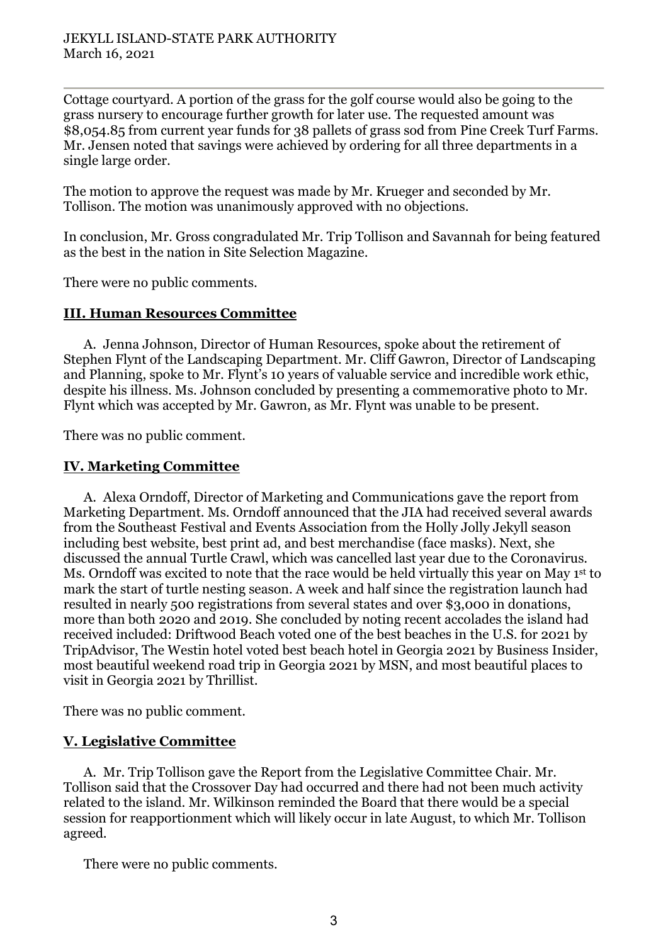Cottage courtyard. A portion of the grass for the golf course would also be going to the grass nursery to encourage further growth for later use. The requested amount was \$8,054.85 from current year funds for 38 pallets of grass sod from Pine Creek Turf Farms. Mr. Jensen noted that savings were achieved by ordering for all three departments in a single large order.

The motion to approve the request was made by Mr. Krueger and seconded by Mr. Tollison. The motion was unanimously approved with no objections.

In conclusion, Mr. Gross congradulated Mr. Trip Tollison and Savannah for being featured as the best in the nation in Site Selection Magazine.

There were no public comments.

### **III. Human Resources Committee**

A. Jenna Johnson, Director of Human Resources, spoke about the retirement of Stephen Flynt of the Landscaping Department. Mr. Cliff Gawron, Director of Landscaping and Planning, spoke to Mr. Flynt's 10 years of valuable service and incredible work ethic, despite his illness. Ms. Johnson concluded by presenting a commemorative photo to Mr. Flynt which was accepted by Mr. Gawron, as Mr. Flynt was unable to be present.

There was no public comment.

# **IV. Marketing Committee**

A. Alexa Orndoff, Director of Marketing and Communications gave the report from Marketing Department. Ms. Orndoff announced that the JIA had received several awards from the Southeast Festival and Events Association from the Holly Jolly Jekyll season including best website, best print ad, and best merchandise (face masks). Next, she discussed the annual Turtle Crawl, which was cancelled last year due to the Coronavirus. Ms. Orndoff was excited to note that the race would be held virtually this year on May 1<sup>st</sup> to mark the start of turtle nesting season. A week and half since the registration launch had resulted in nearly 500 registrations from several states and over \$3,000 in donations, more than both 2020 and 2019. She concluded by noting recent accolades the island had received included: Driftwood Beach voted one of the best beaches in the U.S. for 2021 by TripAdvisor, The Westin hotel voted best beach hotel in Georgia 2021 by Business Insider, most beautiful weekend road trip in Georgia 2021 by MSN, and most beautiful places to visit in Georgia 2021 by Thrillist.

There was no public comment.

# **V. Legislative Committee**

A. Mr. Trip Tollison gave the Report from the Legislative Committee Chair. Mr. Tollison said that the Crossover Day had occurred and there had not been much activity related to the island. Mr. Wilkinson reminded the Board that there would be a special session for reapportionment which will likely occur in late August, to which Mr. Tollison agreed.

There were no public comments.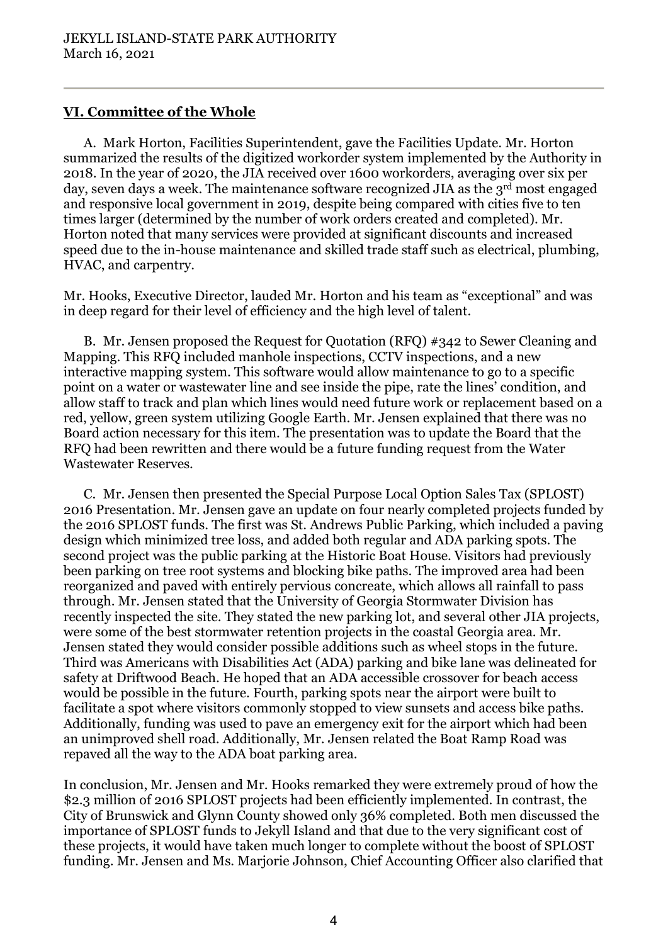### **VI. Committee of the Whole**

A. Mark Horton, Facilities Superintendent, gave the Facilities Update. Mr. Horton summarized the results of the digitized workorder system implemented by the Authority in 2018. In the year of 2020, the JIA received over 1600 workorders, averaging over six per day, seven days a week. The maintenance software recognized JIA as the 3<sup>rd</sup> most engaged and responsive local government in 2019, despite being compared with cities five to ten times larger (determined by the number of work orders created and completed). Mr. Horton noted that many services were provided at significant discounts and increased speed due to the in-house maintenance and skilled trade staff such as electrical, plumbing, HVAC, and carpentry.

Mr. Hooks, Executive Director, lauded Mr. Horton and his team as "exceptional" and was in deep regard for their level of efficiency and the high level of talent.

B. Mr. Jensen proposed the Request for Quotation (RFQ) #342 to Sewer Cleaning and Mapping. This RFQ included manhole inspections, CCTV inspections, and a new interactive mapping system. This software would allow maintenance to go to a specific point on a water or wastewater line and see inside the pipe, rate the lines' condition, and allow staff to track and plan which lines would need future work or replacement based on a red, yellow, green system utilizing Google Earth. Mr. Jensen explained that there was no Board action necessary for this item. The presentation was to update the Board that the RFQ had been rewritten and there would be a future funding request from the Water Wastewater Reserves.

C. Mr. Jensen then presented the Special Purpose Local Option Sales Tax (SPLOST) 2016 Presentation. Mr. Jensen gave an update on four nearly completed projects funded by the 2016 SPLOST funds. The first was St. Andrews Public Parking, which included a paving design which minimized tree loss, and added both regular and ADA parking spots. The second project was the public parking at the Historic Boat House. Visitors had previously been parking on tree root systems and blocking bike paths. The improved area had been reorganized and paved with entirely pervious concreate, which allows all rainfall to pass through. Mr. Jensen stated that the University of Georgia Stormwater Division has recently inspected the site. They stated the new parking lot, and several other JIA projects, were some of the best stormwater retention projects in the coastal Georgia area. Mr. Jensen stated they would consider possible additions such as wheel stops in the future. Third was Americans with Disabilities Act (ADA) parking and bike lane was delineated for safety at Driftwood Beach. He hoped that an ADA accessible crossover for beach access would be possible in the future. Fourth, parking spots near the airport were built to facilitate a spot where visitors commonly stopped to view sunsets and access bike paths. Additionally, funding was used to pave an emergency exit for the airport which had been an unimproved shell road. Additionally, Mr. Jensen related the Boat Ramp Road was repaved all the way to the ADA boat parking area.

In conclusion, Mr. Jensen and Mr. Hooks remarked they were extremely proud of how the \$2.3 million of 2016 SPLOST projects had been efficiently implemented. In contrast, the City of Brunswick and Glynn County showed only 36% completed. Both men discussed the importance of SPLOST funds to Jekyll Island and that due to the very significant cost of these projects, it would have taken much longer to complete without the boost of SPLOST funding. Mr. Jensen and Ms. Marjorie Johnson, Chief Accounting Officer also clarified that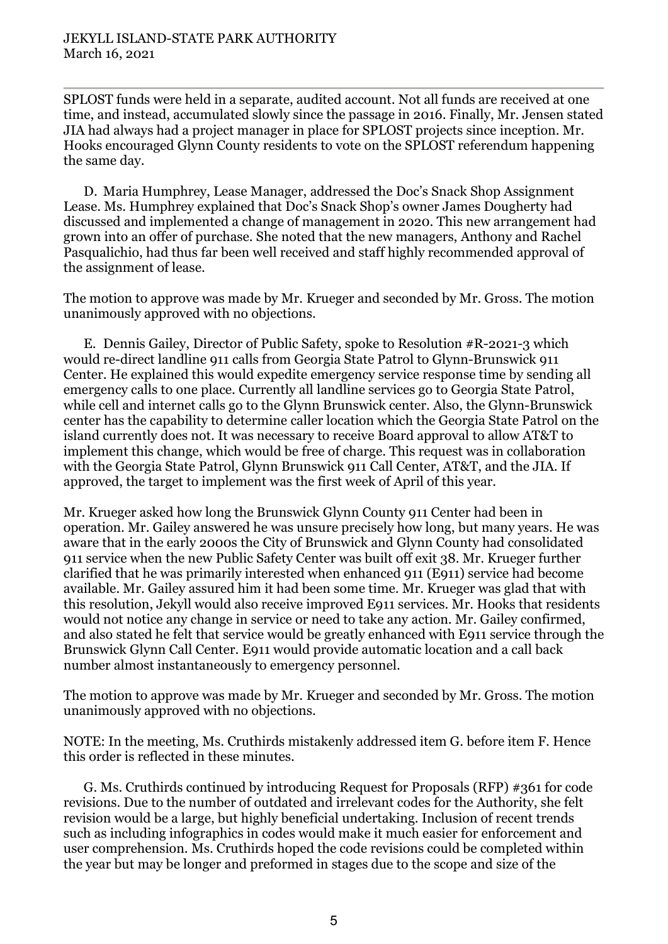SPLOST funds were held in a separate, audited account. Not all funds are received at one time, and instead, accumulated slowly since the passage in 2016. Finally, Mr. Jensen stated JIA had always had a project manager in place for SPLOST projects since inception. Mr. Hooks encouraged Glynn County residents to vote on the SPLOST referendum happening the same day.

D. Maria Humphrey, Lease Manager, addressed the Doc's Snack Shop Assignment Lease. Ms. Humphrey explained that Doc's Snack Shop's owner James Dougherty had discussed and implemented a change of management in 2020. This new arrangement had grown into an offer of purchase. She noted that the new managers, Anthony and Rachel Pasqualichio, had thus far been well received and staff highly recommended approval of the assignment of lease.

The motion to approve was made by Mr. Krueger and seconded by Mr. Gross. The motion unanimously approved with no objections.

E. Dennis Gailey, Director of Public Safety, spoke to Resolution #R-2021-3 which would re-direct landline 911 calls from Georgia State Patrol to Glynn-Brunswick 911 Center. He explained this would expedite emergency service response time by sending all emergency calls to one place. Currently all landline services go to Georgia State Patrol, while cell and internet calls go to the Glynn Brunswick center. Also, the Glynn-Brunswick center has the capability to determine caller location which the Georgia State Patrol on the island currently does not. It was necessary to receive Board approval to allow AT&T to implement this change, which would be free of charge. This request was in collaboration with the Georgia State Patrol, Glynn Brunswick 911 Call Center, AT&T, and the JIA. If approved, the target to implement was the first week of April of this year.

Mr. Krueger asked how long the Brunswick Glynn County 911 Center had been in operation. Mr. Gailey answered he was unsure precisely how long, but many years. He was aware that in the early 2000s the City of Brunswick and Glynn County had consolidated 911 service when the new Public Safety Center was built off exit 38. Mr. Krueger further clarified that he was primarily interested when enhanced 911 (E911) service had become available. Mr. Gailey assured him it had been some time. Mr. Krueger was glad that with this resolution, Jekyll would also receive improved E911 services. Mr. Hooks that residents would not notice any change in service or need to take any action. Mr. Gailey confirmed, and also stated he felt that service would be greatly enhanced with E911 service through the Brunswick Glynn Call Center. E911 would provide automatic location and a call back number almost instantaneously to emergency personnel.

The motion to approve was made by Mr. Krueger and seconded by Mr. Gross. The motion unanimously approved with no objections.

NOTE: In the meeting, Ms. Cruthirds mistakenly addressed item G. before item F. Hence this order is reflected in these minutes.

G. Ms. Cruthirds continued by introducing Request for Proposals (RFP) #361 for code revisions. Due to the number of outdated and irrelevant codes for the Authority, she felt revision would be a large, but highly beneficial undertaking. Inclusion of recent trends such as including infographics in codes would make it much easier for enforcement and user comprehension. Ms. Cruthirds hoped the code revisions could be completed within the year but may be longer and preformed in stages due to the scope and size of the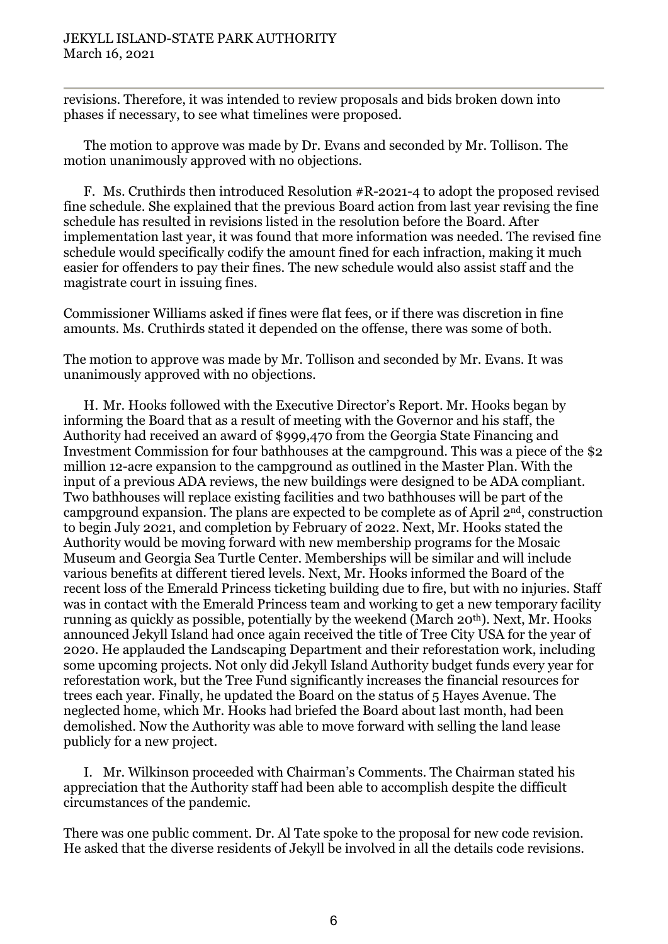revisions. Therefore, it was intended to review proposals and bids broken down into phases if necessary, to see what timelines were proposed.

The motion to approve was made by Dr. Evans and seconded by Mr. Tollison. The motion unanimously approved with no objections.

F. Ms. Cruthirds then introduced Resolution #R-2021-4 to adopt the proposed revised fine schedule. She explained that the previous Board action from last year revising the fine schedule has resulted in revisions listed in the resolution before the Board. After implementation last year, it was found that more information was needed. The revised fine schedule would specifically codify the amount fined for each infraction, making it much easier for offenders to pay their fines. The new schedule would also assist staff and the magistrate court in issuing fines.

Commissioner Williams asked if fines were flat fees, or if there was discretion in fine amounts. Ms. Cruthirds stated it depended on the offense, there was some of both.

The motion to approve was made by Mr. Tollison and seconded by Mr. Evans. It was unanimously approved with no objections.

H. Mr. Hooks followed with the Executive Director's Report. Mr. Hooks began by informing the Board that as a result of meeting with the Governor and his staff, the Authority had received an award of \$999,470 from the Georgia State Financing and Investment Commission for four bathhouses at the campground. This was a piece of the \$2 million 12-acre expansion to the campground as outlined in the Master Plan. With the input of a previous ADA reviews, the new buildings were designed to be ADA compliant. Two bathhouses will replace existing facilities and two bathhouses will be part of the campground expansion. The plans are expected to be complete as of April  $2<sup>nd</sup>$ , construction to begin July 2021, and completion by February of 2022. Next, Mr. Hooks stated the Authority would be moving forward with new membership programs for the Mosaic Museum and Georgia Sea Turtle Center. Memberships will be similar and will include various benefits at different tiered levels. Next, Mr. Hooks informed the Board of the recent loss of the Emerald Princess ticketing building due to fire, but with no injuries. Staff was in contact with the Emerald Princess team and working to get a new temporary facility running as quickly as possible, potentially by the weekend (March 20th). Next, Mr. Hooks announced Jekyll Island had once again received the title of Tree City USA for the year of 2020. He applauded the Landscaping Department and their reforestation work, including some upcoming projects. Not only did Jekyll Island Authority budget funds every year for reforestation work, but the Tree Fund significantly increases the financial resources for trees each year. Finally, he updated the Board on the status of 5 Hayes Avenue. The neglected home, which Mr. Hooks had briefed the Board about last month, had been demolished. Now the Authority was able to move forward with selling the land lease publicly for a new project.

I. Mr. Wilkinson proceeded with Chairman's Comments. The Chairman stated his appreciation that the Authority staff had been able to accomplish despite the difficult circumstances of the pandemic.

There was one public comment. Dr. Al Tate spoke to the proposal for new code revision. He asked that the diverse residents of Jekyll be involved in all the details code revisions.